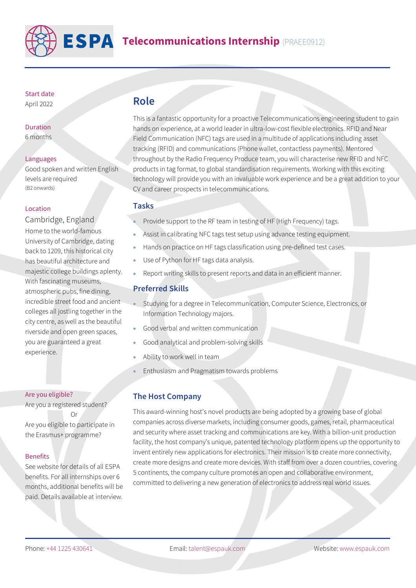

Start date

April 2022

# Duration

6 months

#### Languages

Good spoken and written English levels are required (B2 onwards)

#### Location

Cambridge, England Home to the world-famous University of Cambridge, dating back to 1209, this historical city has beautiful architecture and majestic college buildings aplenty. With fascinating museums, atmospheric pubs, fine dining, incredible street food and ancient colleges all jostling together in the city centre, as well as the beautiful riverside and open green spaces, you are guaranteed a great experience.

#### Are you eligible?

Are you a registered student? Or Are you eligible to participate in the Erasmus+ programme?

#### Benefits

See website for details of all ESPA benefits. For all internships over 6 months, additional benefits will be paid. Details available at interview.

# **Role**

This is a fantastic opportunity for a proactive Telecommunications engineering student to gain hands on experience, at a world leader in ultra-low-cost flexible electronics. RFID and Near Field Communication (NFC) tags are used in a multitude of applications including asset tracking (RFID) and communications (Phone wallet, contactless payments). Mentored throughout by the Radio Frequency Produce team, you will characterise new RFID and NFC products in tag format, to global standardisation requirements. Working with this exciting technology will provide you with an invaluable work experience and be a great addition to your CV and career prospects in telecommunications.

### **Tasks**

- Provide support to the RF team in testing of HF (High Frequency) tags.
- Assist in calibrating NFC tags test setup using advance testing equipment.
- Hands on practice on HF tags classification using pre-defined test cases.
- Use of Python for HF tags data analysis.
- Report writing skills to present reports and data in an efficient manner.

# **Preferred Skills**

- Studying for a degree in Telecommunication, Computer Science, Electronics, or Information Technology majors.
- Good verbal and written communication
- Good analytical and problem-solving skills
- Ability to work well in team
- Enthusiasm and Pragmatism towards problems

## **The Host Company**

This award-winning host's novel products are being adopted by a growing base of global companies across diverse markets, including consumer goods, games, retail, pharmaceutical and security where asset tracking and communications are key. With a billion-unit production facility, the host company's unique, patented technology platform opens up the opportunity to invent entirely new applications for electronics. Their mission is to create more connectivity, create more designs and create more devices. With staff from over a dozen countries, covering 5 continents, the company culture promotes an open and collaborative environment, committed to delivering a new generation of electronics to address real world issues.